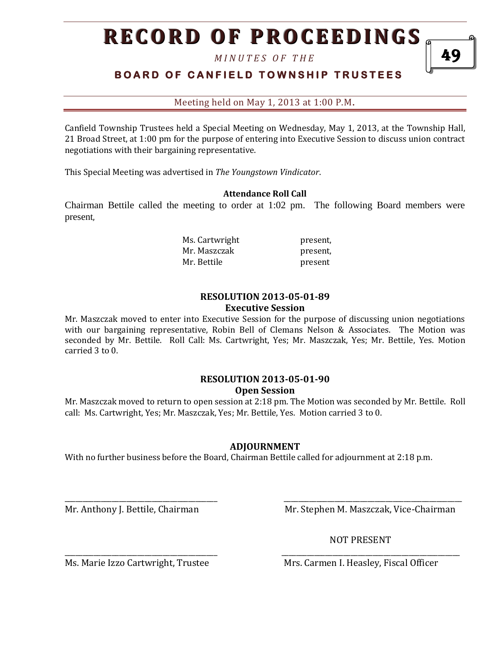## **RECORD OF PROCEEDINGS**

*M I N U T E S O F T H E* 

### **B O A R D O F C A N F I E L D T O W N S H I P T R U S T E E S**

Meeting held on May 1, 2013 at 1:00 P.M**.**

Canfield Township Trustees held a Special Meeting on Wednesday, May 1, 2013, at the Township Hall, 21 Broad Street, at 1:00 pm for the purpose of entering into Executive Session to discuss union contract negotiations with their bargaining representative.

This Special Meeting was advertised in *The Youngstown Vindicator*.

#### **Attendance Roll Call**

Chairman Bettile called the meeting to order at 1:02 pm. The following Board members were present,

> Ms. Cartwright present, Mr. Maszczak **present**, Mr. Bettile **present**

#### **RESOLUTION 2013-05-01-89 Executive Session**

Mr. Maszczak moved to enter into Executive Session for the purpose of discussing union negotiations with our bargaining representative, Robin Bell of Clemans Nelson & Associates. The Motion was seconded by Mr. Bettile. Roll Call: Ms. Cartwright, Yes; Mr. Maszczak, Yes; Mr. Bettile, Yes. Motion carried 3 to 0.

#### **RESOLUTION 2013-05-01-90 Open Session**

Mr. Maszczak moved to return to open session at 2:18 pm. The Motion was seconded by Mr. Bettile. Roll call: Ms. Cartwright, Yes; Mr. Maszczak, Yes; Mr. Bettile, Yes. Motion carried 3 to 0.

#### **ADJOURNMENT**

\_\_\_\_\_\_\_\_\_\_\_\_\_\_\_\_\_\_\_\_\_\_\_\_\_\_\_\_\_\_\_\_\_\_\_\_\_\_\_\_\_\_ \_\_\_\_\_\_\_\_\_\_\_\_\_\_\_\_\_\_\_\_\_\_\_\_\_\_\_\_\_\_\_\_\_\_\_\_\_\_\_\_\_\_\_\_\_\_\_\_\_

\_\_\_\_\_\_\_\_\_\_\_\_\_\_\_\_\_\_\_\_\_\_\_\_\_\_\_\_\_\_\_\_\_\_\_\_\_\_\_\_\_\_ \_\_\_\_\_\_\_\_\_\_\_\_\_\_\_\_\_\_\_\_\_\_\_\_\_\_\_\_\_\_\_\_\_\_\_\_\_\_\_\_\_\_\_\_\_\_\_\_\_

With no further business before the Board, Chairman Bettile called for adjournment at 2:18 p.m.

Mr. Anthony J. Bettile, Chairman Mr. Stephen M. Maszczak, Vice-Chairman

NOT PRESENT

Ms. Marie Izzo Cartwright, Trustee Mrs. Carmen I. Heasley, Fiscal Officer

49